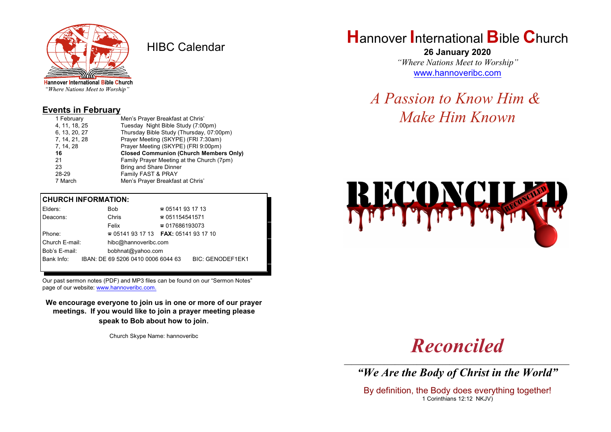

HIBC Calendar

"Where Nations Meet to Worship"

#### **Events in February**

| 1 February    | Men's Prayer Breakfast at Chris'              |  |  |
|---------------|-----------------------------------------------|--|--|
| 4, 11, 18, 25 | Tuesday Night Bible Study (7:00pm)            |  |  |
| 6, 13, 20, 27 | Thursday Bible Study (Thursday, 07:00pm)      |  |  |
| 7, 14, 21, 28 | Prayer Meeting (SKYPE) (FRI 7:30am)           |  |  |
| 7, 14, 28     | Prayer Meeting (SKYPE) (FRI 9:00pm)           |  |  |
| 16            | <b>Closed Communion (Church Members Only)</b> |  |  |
| 21            | Family Prayer Meeting at the Church (7pm)     |  |  |
| 23            | <b>Bring and Share Dinner</b>                 |  |  |
| 28-29         | Family FAST & PRAY                            |  |  |
| 7 March       | Men's Prayer Breakfast at Chris'              |  |  |

#### **CHURCH INFORMATION:**

| Elders:        |  | <b>Bob</b>                               | $\approx 05141931713$  |                         |  |
|----------------|--|------------------------------------------|------------------------|-------------------------|--|
| Deacons:       |  | Chris                                    | $\approx 051154541571$ |                         |  |
|                |  | Felix                                    | $\approx 017686193073$ |                         |  |
| Phone:         |  | $\approx 05141931713$ FAX: 0514193 17 10 |                        |                         |  |
| Church E-mail: |  | hibc@hannoveribc.com                     |                        |                         |  |
| Bob's E-mail:  |  | bobhnat@yahoo.com                        |                        |                         |  |
| Bank Info:     |  | IBAN: DE 69 5206 0410 0006 6044 63       |                        | <b>BIC: GENODEF1EK1</b> |  |
|                |  |                                          |                        |                         |  |

Our past sermon notes (PDF) and MP3 files can be found on our "Sermon Notes" page of our website: [www.hannoveribc.com.](http://www.hannoveribc.com.)

**We encourage everyone to join us in one or more of our prayer meetings. If you would like to join a prayer meeting please speak to Bob about how to join**.

Church Skype Name: hannoveribc

## **H**annover **I**nternational **B**ible **C**hurch

**26 January 2020** *"Where Nations Meet to Worship"* [www.hannoveribc.com](http://www.hannoveribc.com)

*A Passion to Know Him & Make Him Known*



# *Reconciled*

\_\_\_\_\_\_\_\_\_\_\_\_\_\_\_\_\_\_\_\_\_\_\_\_\_\_\_\_\_\_\_\_\_\_\_\_\_\_\_\_\_\_\_\_\_\_\_\_\_\_\_\_\_\_\_\_\_\_\_\_\_\_ *"We Are the Body of Christ in the World"*

By definition, the Body does everything together! 1 Corinthians 12:12 NKJV)